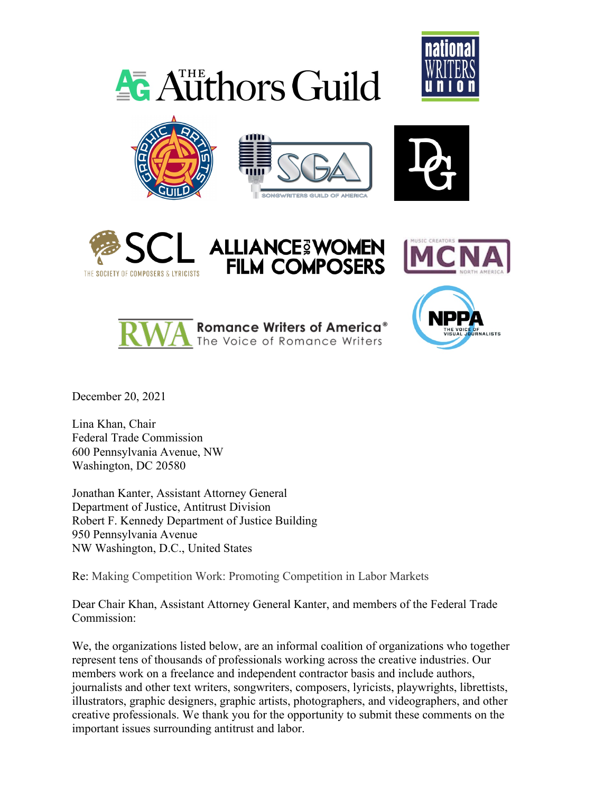













 $\triangle$  Authors Guild



December 20, 2021

Lina Khan, Chair Federal Trade Commission 600 Pennsylvania Avenue, NW Washington, DC 20580

Jonathan Kanter, Assistant Attorney General Department of Justice, Antitrust Division Robert F. Kennedy Department of Justice Building 950 Pennsylvania Avenue NW Washington, D.C., United States

Re: Making Competition Work: Promoting Competition in Labor Markets

Dear Chair Khan, Assistant Attorney General Kanter, and members of the Federal Trade Commission:

We, the organizations listed below, are an informal coalition of organizations who together represent tens of thousands of professionals working across the creative industries. Our members work on a freelance and independent contractor basis and include authors, journalists and other text writers, songwriters, composers, lyricists, playwrights, librettists, illustrators, graphic designers, graphic artists, photographers, and videographers, and other creative professionals. We thank you for the opportunity to submit these comments on the important issues surrounding antitrust and labor.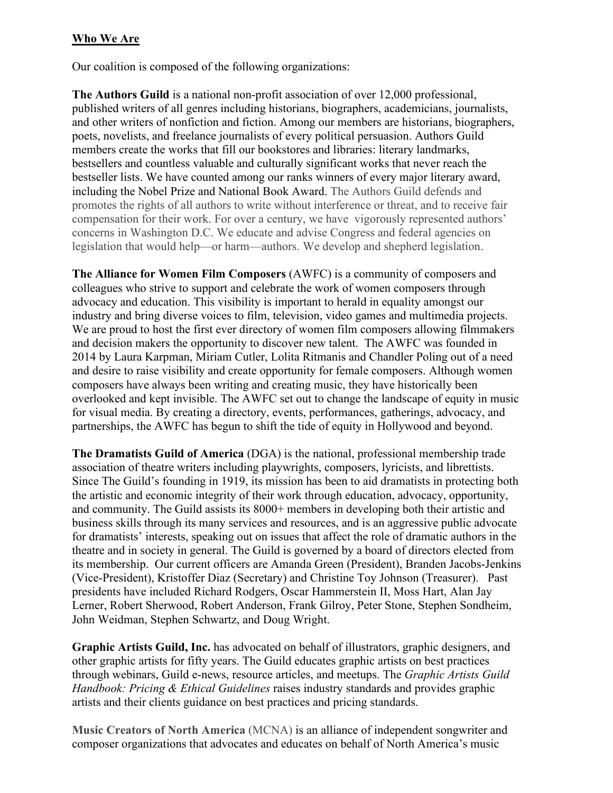### **Who We Are**

Our coalition is composed of the following organizations:

**The Authors Guild** is a national non-profit association of over 12,000 professional, published writers of all genres including historians, biographers, academicians, journalists, and other writers of nonfiction and fiction. Among our members are historians, biographers, poets, novelists, and freelance journalists of every political persuasion. Authors Guild members create the works that fill our bookstores and libraries: literary landmarks, bestsellers and countless valuable and culturally significant works that never reach the bestseller lists. We have counted among our ranks winners of every major literary award, including the Nobel Prize and National Book Award. The Authors Guild defends and promotes the rights of all authors to write without interference or threat, and to receive fair compensation for their work. For over a century, we have vigorously represented authors' concerns in Washington D.C. We educate and advise Congress and federal agencies on legislation that would help—or harm—authors. We develop and shepherd legislation.

**The Alliance for Women Film Composers** (AWFC) is a community of composers and colleagues who strive to support and celebrate the work of women composers through advocacy and education. This visibility is important to herald in equality amongst our industry and bring diverse voices to film, television, video games and multimedia projects. We are proud to host the first ever directory of women film composers allowing filmmakers and decision makers the opportunity to discover new talent. The AWFC was founded in 2014 by Laura Karpman, Miriam Cutler, Lolita Ritmanis and Chandler Poling out of a need and desire to raise visibility and create opportunity for female composers. Although women composers have always been writing and creating music, they have historically been overlooked and kept invisible. The AWFC set out to change the landscape of equity in music for visual media. By creating a directory, events, performances, gatherings, advocacy, and partnerships, the AWFC has begun to shift the tide of equity in Hollywood and beyond.

**The Dramatists Guild of America** (DGA) is the national, professional membership trade association of theatre writers including playwrights, composers, lyricists, and librettists. Since The Guild's founding in 1919, its mission has been to aid dramatists in protecting both the artistic and economic integrity of their work through education, advocacy, opportunity, and community. The Guild assists its 8000+ members in developing both their artistic and business skills through its many services and resources, and is an aggressive public advocate for dramatists' interests, speaking out on issues that affect the role of dramatic authors in the theatre and in society in general. The Guild is governed by a board of directors elected from its membership. Our current officers are Amanda Green (President), Branden Jacobs-Jenkins (Vice-President), Kristoffer Diaz (Secretary) and Christine Toy Johnson (Treasurer). Past presidents have included Richard Rodgers, Oscar Hammerstein II, Moss Hart, Alan Jay Lerner, Robert Sherwood, Robert Anderson, Frank Gilroy, Peter Stone, Stephen Sondheim, John Weidman, Stephen Schwartz, and Doug Wright.

**Graphic Artists Guild, Inc.** has advocated on behalf of illustrators, graphic designers, and other graphic artists for fifty years. The Guild educates graphic artists on best practices through webinars, Guild e-news, resource articles, and meetups. The *Graphic Artists Guild Handbook: Pricing & Ethical Guidelines* raises industry standards and provides graphic artists and their clients guidance on best practices and pricing standards.

**Music Creators of North America** (MCNA) is an alliance of independent songwriter and composer organizations that advocates and educates on behalf of North America's music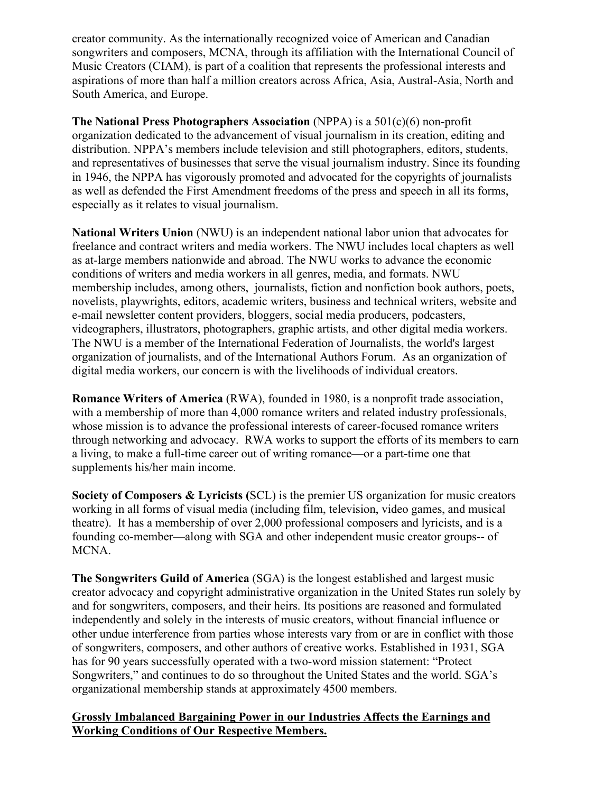creator community. As the internationally recognized voice of American and Canadian songwriters and composers, MCNA, through its affiliation with the International Council of Music Creators (CIAM), is part of a coalition that represents the professional interests and aspirations of more than half a million creators across Africa, Asia, Austral-Asia, North and South America, and Europe.

**The National Press Photographers Association** (NPPA) is a 501(c)(6) non-profit organization dedicated to the advancement of visual journalism in its creation, editing and distribution. NPPA's members include television and still photographers, editors, students, and representatives of businesses that serve the visual journalism industry. Since its founding in 1946, the NPPA has vigorously promoted and advocated for the copyrights of journalists as well as defended the First Amendment freedoms of the press and speech in all its forms, especially as it relates to visual journalism.

**National Writers Union** (NWU) is an independent national labor union that advocates for freelance and contract writers and media workers. The NWU includes local chapters as well as at-large members nationwide and abroad. The NWU works to advance the economic conditions of writers and media workers in all genres, media, and formats. NWU membership includes, among others, journalists, fiction and nonfiction book authors, poets, novelists, playwrights, editors, academic writers, business and technical writers, website and e-mail newsletter content providers, bloggers, social media producers, podcasters, videographers, illustrators, photographers, graphic artists, and other digital media workers. The NWU is a member of the International Federation of Journalists, the world's largest organization of journalists, and of the International Authors Forum. As an organization of digital media workers, our concern is with the livelihoods of individual creators.

**Romance Writers of America** (RWA), founded in 1980, is a nonprofit trade association, with a membership of more than 4,000 romance writers and related industry professionals, whose mission is to advance the professional interests of career-focused romance writers through networking and advocacy. RWA works to support the efforts of its members to earn a living, to make a full-time career out of writing romance—or a part-time one that supplements his/her main income.

**Society of Composers & Lyricists (**SCL) is the premier US organization for music creators working in all forms of visual media (including film, television, video games, and musical theatre). It has a membership of over 2,000 professional composers and lyricists, and is a founding co-member—along with SGA and other independent music creator groups-- of MCNA.

**The Songwriters Guild of America** (SGA) is the longest established and largest music creator advocacy and copyright administrative organization in the United States run solely by and for songwriters, composers, and their heirs. Its positions are reasoned and formulated independently and solely in the interests of music creators, without financial influence or other undue interference from parties whose interests vary from or are in conflict with those of songwriters, composers, and other authors of creative works. Established in 1931, SGA has for 90 years successfully operated with a two-word mission statement: "Protect Songwriters," and continues to do so throughout the United States and the world. SGA's organizational membership stands at approximately 4500 members.

#### **Grossly Imbalanced Bargaining Power in our Industries Affects the Earnings and Working Conditions of Our Respective Members.**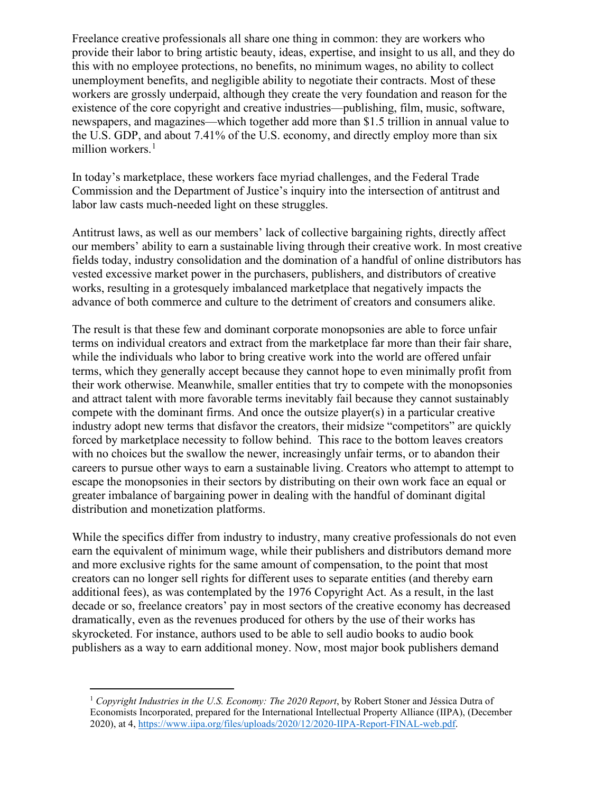Freelance creative professionals all share one thing in common: they are workers who provide their labor to bring artistic beauty, ideas, expertise, and insight to us all, and they do this with no employee protections, no benefits, no minimum wages, no ability to collect unemployment benefits, and negligible ability to negotiate their contracts. Most of these workers are grossly underpaid, although they create the very foundation and reason for the existence of the core copyright and creative industries—publishing, film, music, software, newspapers, and magazines—which together add more than \$1.5 trillion in annual value to the U.S. GDP, and about 7.41% of the U.S. economy, and directly employ more than six million workers.<sup>[1](#page-3-0)</sup>

In today's marketplace, these workers face myriad challenges, and the Federal Trade Commission and the Department of Justice's inquiry into the intersection of antitrust and labor law casts much-needed light on these struggles.

Antitrust laws, as well as our members' lack of collective bargaining rights, directly affect our members' ability to earn a sustainable living through their creative work. In most creative fields today, industry consolidation and the domination of a handful of online distributors has vested excessive market power in the purchasers, publishers, and distributors of creative works, resulting in a grotesquely imbalanced marketplace that negatively impacts the advance of both commerce and culture to the detriment of creators and consumers alike.

The result is that these few and dominant corporate monopsonies are able to force unfair terms on individual creators and extract from the marketplace far more than their fair share, while the individuals who labor to bring creative work into the world are offered unfair terms, which they generally accept because they cannot hope to even minimally profit from their work otherwise. Meanwhile, smaller entities that try to compete with the monopsonies and attract talent with more favorable terms inevitably fail because they cannot sustainably compete with the dominant firms. And once the outsize player(s) in a particular creative industry adopt new terms that disfavor the creators, their midsize "competitors" are quickly forced by marketplace necessity to follow behind. This race to the bottom leaves creators with no choices but the swallow the newer, increasingly unfair terms, or to abandon their careers to pursue other ways to earn a sustainable living. Creators who attempt to attempt to escape the monopsonies in their sectors by distributing on their own work face an equal or greater imbalance of bargaining power in dealing with the handful of dominant digital distribution and monetization platforms.

While the specifics differ from industry to industry, many creative professionals do not even earn the equivalent of minimum wage, while their publishers and distributors demand more and more exclusive rights for the same amount of compensation, to the point that most creators can no longer sell rights for different uses to separate entities (and thereby earn additional fees), as was contemplated by the 1976 Copyright Act. As a result, in the last decade or so, freelance creators' pay in most sectors of the creative economy has decreased dramatically, even as the revenues produced for others by the use of their works has skyrocketed. For instance, authors used to be able to sell audio books to audio book publishers as a way to earn additional money. Now, most major book publishers demand

<span id="page-3-0"></span><sup>1</sup> *Copyright Industries in the U.S. Economy: The 2020 Report*, by Robert Stoner and Jéssica Dutra of Economists Incorporated, prepared for the International Intellectual Property Alliance (IIPA), (December 2020), at 4, [https://www.iipa.org/files/uploads/2020/12/2020-IIPA-Report-FINAL-web.pdf.](https://www.iipa.org/files/uploads/2020/12/2020-IIPA-Report-FINAL-web.pdf)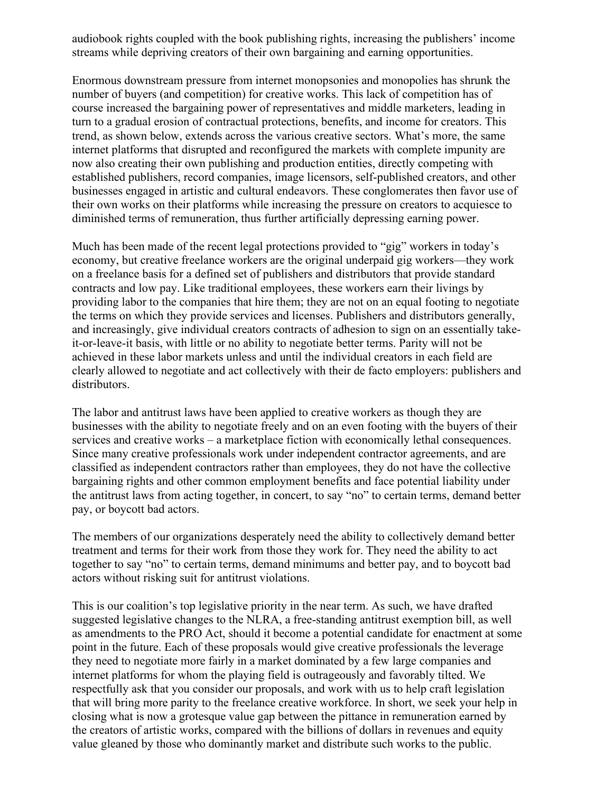audiobook rights coupled with the book publishing rights, increasing the publishers' income streams while depriving creators of their own bargaining and earning opportunities.

Enormous downstream pressure from internet monopsonies and monopolies has shrunk the number of buyers (and competition) for creative works. This lack of competition has of course increased the bargaining power of representatives and middle marketers, leading in turn to a gradual erosion of contractual protections, benefits, and income for creators. This trend, as shown below, extends across the various creative sectors. What's more, the same internet platforms that disrupted and reconfigured the markets with complete impunity are now also creating their own publishing and production entities, directly competing with established publishers, record companies, image licensors, self-published creators, and other businesses engaged in artistic and cultural endeavors. These conglomerates then favor use of their own works on their platforms while increasing the pressure on creators to acquiesce to diminished terms of remuneration, thus further artificially depressing earning power.

Much has been made of the recent legal protections provided to "gig" workers in today's economy, but creative freelance workers are the original underpaid gig workers—they work on a freelance basis for a defined set of publishers and distributors that provide standard contracts and low pay. Like traditional employees, these workers earn their livings by providing labor to the companies that hire them; they are not on an equal footing to negotiate the terms on which they provide services and licenses. Publishers and distributors generally, and increasingly, give individual creators contracts of adhesion to sign on an essentially takeit-or-leave-it basis, with little or no ability to negotiate better terms. Parity will not be achieved in these labor markets unless and until the individual creators in each field are clearly allowed to negotiate and act collectively with their de facto employers: publishers and distributors.

The labor and antitrust laws have been applied to creative workers as though they are businesses with the ability to negotiate freely and on an even footing with the buyers of their services and creative works – a marketplace fiction with economically lethal consequences. Since many creative professionals work under independent contractor agreements, and are classified as independent contractors rather than employees, they do not have the collective bargaining rights and other common employment benefits and face potential liability under the antitrust laws from acting together, in concert, to say "no" to certain terms, demand better pay, or boycott bad actors.

The members of our organizations desperately need the ability to collectively demand better treatment and terms for their work from those they work for. They need the ability to act together to say "no" to certain terms, demand minimums and better pay, and to boycott bad actors without risking suit for antitrust violations.

This is our coalition's top legislative priority in the near term. As such, we have drafted suggested legislative changes to the NLRA, a free-standing antitrust exemption bill, as well as amendments to the PRO Act, should it become a potential candidate for enactment at some point in the future. Each of these proposals would give creative professionals the leverage they need to negotiate more fairly in a market dominated by a few large companies and internet platforms for whom the playing field is outrageously and favorably tilted. We respectfully ask that you consider our proposals, and work with us to help craft legislation that will bring more parity to the freelance creative workforce. In short, we seek your help in closing what is now a grotesque value gap between the pittance in remuneration earned by the creators of artistic works, compared with the billions of dollars in revenues and equity value gleaned by those who dominantly market and distribute such works to the public.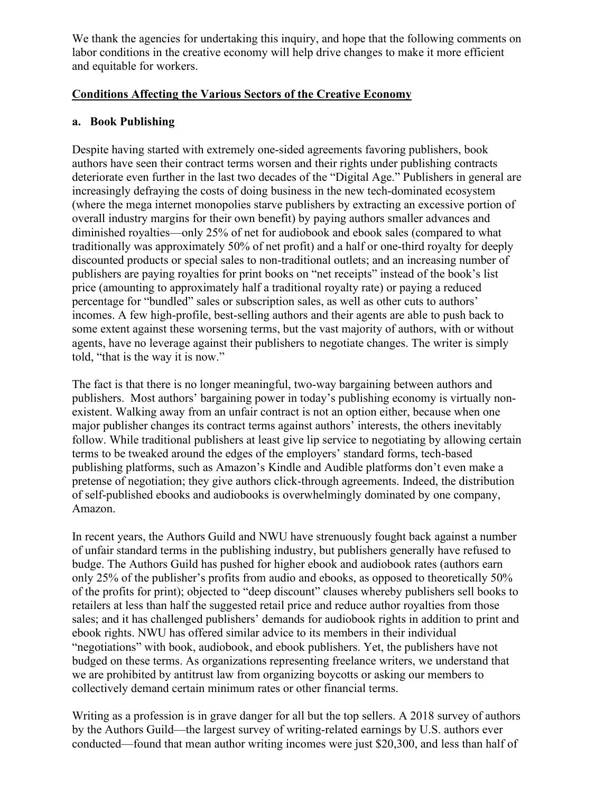We thank the agencies for undertaking this inquiry, and hope that the following comments on labor conditions in the creative economy will help drive changes to make it more efficient and equitable for workers.

### **Conditions Affecting the Various Sectors of the Creative Economy**

## **a. Book Publishing**

Despite having started with extremely one-sided agreements favoring publishers, book authors have seen their contract terms worsen and their rights under publishing contracts deteriorate even further in the last two decades of the "Digital Age." Publishers in general are increasingly defraying the costs of doing business in the new tech-dominated ecosystem (where the mega internet monopolies starve publishers by extracting an excessive portion of overall industry margins for their own benefit) by paying authors smaller advances and diminished royalties—only 25% of net for audiobook and ebook sales (compared to what traditionally was approximately 50% of net profit) and a half or one-third royalty for deeply discounted products or special sales to non-traditional outlets; and an increasing number of publishers are paying royalties for print books on "net receipts" instead of the book's list price (amounting to approximately half a traditional royalty rate) or paying a reduced percentage for "bundled" sales or subscription sales, as well as other cuts to authors' incomes. A few high-profile, best-selling authors and their agents are able to push back to some extent against these worsening terms, but the vast majority of authors, with or without agents, have no leverage against their publishers to negotiate changes. The writer is simply told, "that is the way it is now."

The fact is that there is no longer meaningful, two-way bargaining between authors and publishers. Most authors' bargaining power in today's publishing economy is virtually nonexistent. Walking away from an unfair contract is not an option either, because when one major publisher changes its contract terms against authors' interests, the others inevitably follow. While traditional publishers at least give lip service to negotiating by allowing certain terms to be tweaked around the edges of the employers' standard forms, tech-based publishing platforms, such as Amazon's Kindle and Audible platforms don't even make a pretense of negotiation; they give authors click-through agreements. Indeed, the distribution of self-published ebooks and audiobooks is overwhelmingly dominated by one company, Amazon.

In recent years, the Authors Guild and NWU have strenuously fought back against a number of unfair standard terms in the publishing industry, but publishers generally have refused to budge. The Authors Guild has pushed for higher ebook and audiobook rates (authors earn only 25% of the publisher's profits from audio and ebooks, as opposed to theoretically 50% of the profits for print); objected to "deep discount" clauses whereby publishers sell books to retailers at less than half the suggested retail price and reduce author royalties from those sales; and it has challenged publishers' demands for audiobook rights in addition to print and ebook rights. NWU has offered similar advice to its members in their individual "negotiations" with book, audiobook, and ebook publishers. Yet, the publishers have not budged on these terms. As organizations representing freelance writers, we understand that we are prohibited by antitrust law from organizing boycotts or asking our members to collectively demand certain minimum rates or other financial terms.

Writing as a profession is in grave danger for all but the top sellers. A 2018 survey of authors by the Authors Guild—the largest survey of writing-related earnings by U.S. authors ever conducted—found that mean author writing incomes were just \$20,300, and less than half of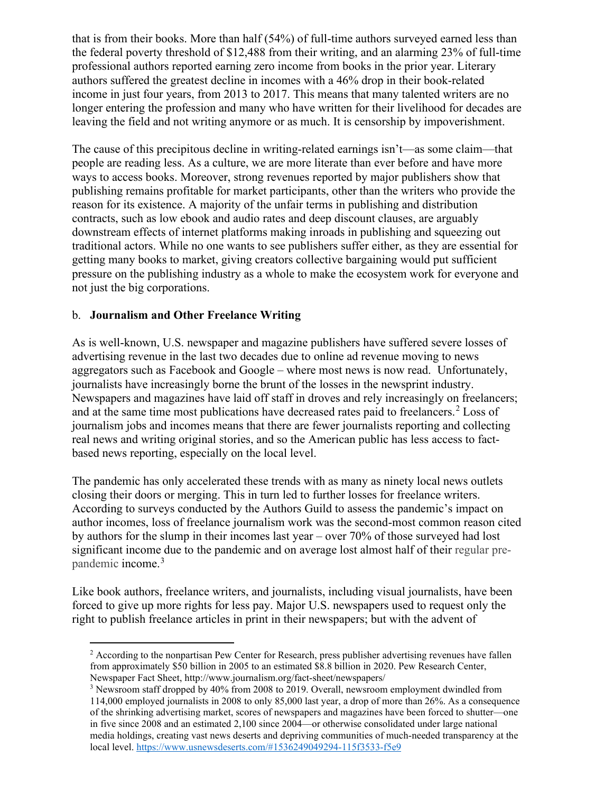that is from their books. More than half (54%) of full-time authors surveyed earned less than the federal poverty threshold of \$12,488 from their writing, and an alarming 23% of full-time professional authors reported earning zero income from books in the prior year. Literary authors suffered the greatest decline in incomes with a 46% drop in their book-related income in just four years, from 2013 to 2017. This means that many talented writers are no longer entering the profession and many who have written for their livelihood for decades are leaving the field and not writing anymore or as much. It is censorship by impoverishment.

The cause of this precipitous decline in writing-related earnings isn't—as some claim—that people are reading less. As a culture, we are more literate than ever before and have more ways to access books. Moreover, strong revenues reported by major publishers show that publishing remains profitable for market participants, other than the writers who provide the reason for its existence. A majority of the unfair terms in publishing and distribution contracts, such as low ebook and audio rates and deep discount clauses, are arguably downstream effects of internet platforms making inroads in publishing and squeezing out traditional actors. While no one wants to see publishers suffer either, as they are essential for getting many books to market, giving creators collective bargaining would put sufficient pressure on the publishing industry as a whole to make the ecosystem work for everyone and not just the big corporations.

#### b. **Journalism and Other Freelance Writing**

As is well-known, U.S. newspaper and magazine publishers have suffered severe losses of advertising revenue in the last two decades due to online ad revenue moving to news aggregators such as Facebook and Google – where most news is now read. Unfortunately, journalists have increasingly borne the brunt of the losses in the newsprint industry. Newspapers and magazines have laid off staff in droves and rely increasingly on freelancers; and at the same time most publications have decreased rates paid to freelancers. [2](#page-6-0) Loss of journalism jobs and incomes means that there are fewer journalists reporting and collecting real news and writing original stories, and so the American public has less access to factbased news reporting, especially on the local level.

The pandemic has only accelerated these trends with as many as ninety local news outlets closing their doors or merging. This in turn led to further losses for freelance writers. According to surveys conducted by the Authors Guild to assess the pandemic's impact on author incomes, loss of freelance journalism work was the second-most common reason cited by authors for the slump in their incomes last year – over 70% of those surveyed had lost significant income due to the pandemic and on average lost almost half of their regular prepandemic income.[3](#page-6-1)

Like book authors, freelance writers, and journalists, including visual journalists, have been forced to give up more rights for less pay. Major U.S. newspapers used to request only the right to publish freelance articles in print in their newspapers; but with the advent of

<span id="page-6-0"></span> $2$  According to the nonpartisan Pew Center for Research, press publisher advertising revenues have fallen from approximately \$50 billion in 2005 to an estimated \$8.8 billion in 2020. Pew Research Center, Newspaper Fact Sheet, http://www.journalism.org/fact-sheet/newspapers/

<span id="page-6-1"></span> $3$  Newsroom staff dropped by 40% from 2008 to 2019. Overall, newsroom employment dwindled from 114,000 employed journalists in 2008 to only 85,000 last year, a drop of more than 26%. As a consequence of the shrinking advertising market, scores of newspapers and magazines have been forced to shutter—one in five since 2008 and an estimated 2,100 since 2004—or otherwise consolidated under large national media holdings, creating vast news deserts and depriving communities of much-needed transparency at the local level.<https://www.usnewsdeserts.com/#1536249049294-115f3533-f5e9>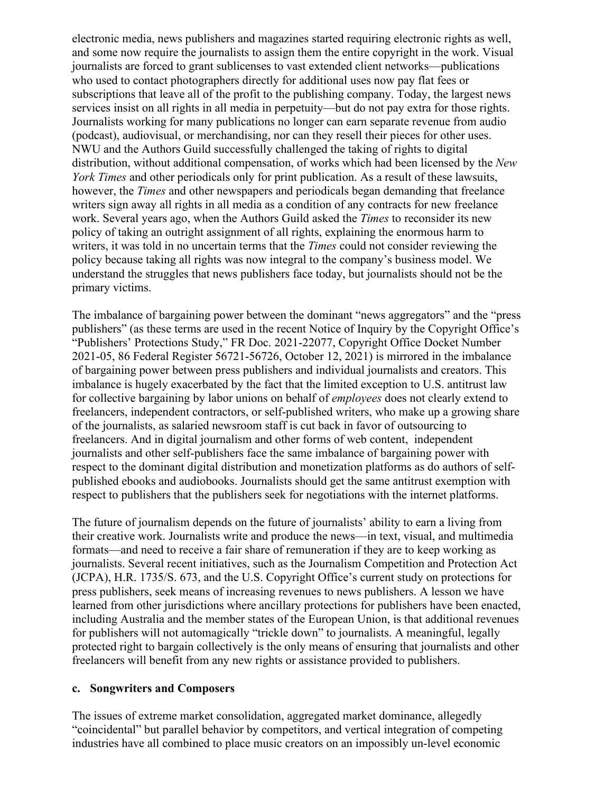electronic media, news publishers and magazines started requiring electronic rights as well, and some now require the journalists to assign them the entire copyright in the work. Visual journalists are forced to grant sublicenses to vast extended client networks—publications who used to contact photographers directly for additional uses now pay flat fees or subscriptions that leave all of the profit to the publishing company. Today, the largest news services insist on all rights in all media in perpetuity—but do not pay extra for those rights. Journalists working for many publications no longer can earn separate revenue from audio (podcast), audiovisual, or merchandising, nor can they resell their pieces for other uses. NWU and the Authors Guild successfully challenged the taking of rights to digital distribution, without additional compensation, of works which had been licensed by the *New York Times* and other periodicals only for print publication. As a result of these lawsuits, however, the *Times* and other newspapers and periodicals began demanding that freelance writers sign away all rights in all media as a condition of any contracts for new freelance work. Several years ago, when the Authors Guild asked the *Times* to reconsider its new policy of taking an outright assignment of all rights, explaining the enormous harm to writers, it was told in no uncertain terms that the *Times* could not consider reviewing the policy because taking all rights was now integral to the company's business model. We understand the struggles that news publishers face today, but journalists should not be the primary victims.

The imbalance of bargaining power between the dominant "news aggregators" and the "press publishers" (as these terms are used in the recent Notice of Inquiry by the Copyright Office's "Publishers' Protections Study," FR Doc. 2021-22077, Copyright Office Docket Number 2021-05, 86 Federal Register 56721-56726, October 12, 2021) is mirrored in the imbalance of bargaining power between press publishers and individual journalists and creators. This imbalance is hugely exacerbated by the fact that the limited exception to U.S. antitrust law for collective bargaining by labor unions on behalf of *employees* does not clearly extend to freelancers, independent contractors, or self-published writers, who make up a growing share of the journalists, as salaried newsroom staff is cut back in favor of outsourcing to freelancers. And in digital journalism and other forms of web content, independent journalists and other self-publishers face the same imbalance of bargaining power with respect to the dominant digital distribution and monetization platforms as do authors of selfpublished ebooks and audiobooks. Journalists should get the same antitrust exemption with respect to publishers that the publishers seek for negotiations with the internet platforms.

The future of journalism depends on the future of journalists' ability to earn a living from their creative work. Journalists write and produce the news—in text, visual, and multimedia formats—and need to receive a fair share of remuneration if they are to keep working as journalists. Several recent initiatives, such as the Journalism Competition and Protection Act (JCPA), H.R. 1735/S. 673, and the U.S. Copyright Office's current study on protections for press publishers, seek means of increasing revenues to news publishers. A lesson we have learned from other jurisdictions where ancillary protections for publishers have been enacted, including Australia and the member states of the European Union, is that additional revenues for publishers will not automagically "trickle down" to journalists. A meaningful, legally protected right to bargain collectively is the only means of ensuring that journalists and other freelancers will benefit from any new rights or assistance provided to publishers.

#### **c. Songwriters and Composers**

The issues of extreme market consolidation, aggregated market dominance, allegedly "coincidental" but parallel behavior by competitors, and vertical integration of competing industries have all combined to place music creators on an impossibly un-level economic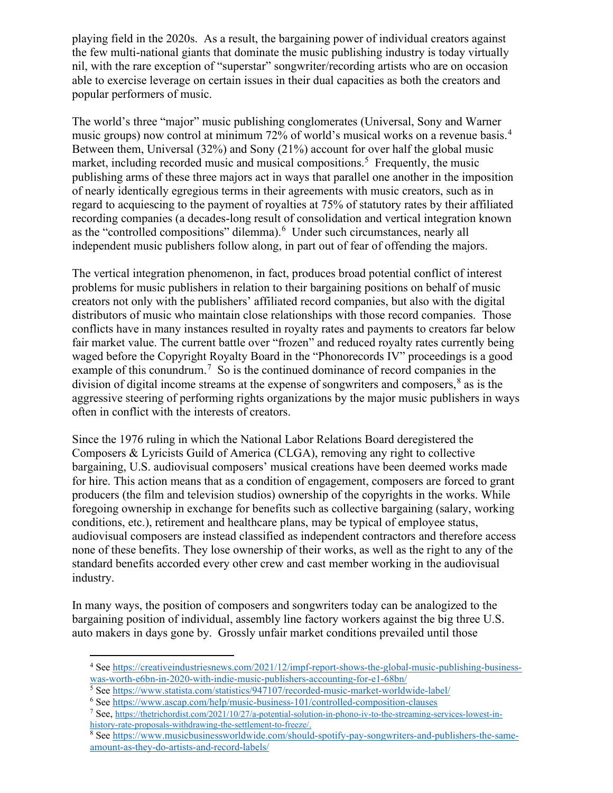playing field in the 2020s. As a result, the bargaining power of individual creators against the few multi-national giants that dominate the music publishing industry is today virtually nil, with the rare exception of "superstar" songwriter/recording artists who are on occasion able to exercise leverage on certain issues in their dual capacities as both the creators and popular performers of music.

The world's three "major" music publishing conglomerates (Universal, Sony and Warner music groups) now control at minimum 72% of world's musical works on a revenue basis.<sup>[4](#page-8-0)</sup> Between them, Universal (32%) and Sony (21%) account for over half the global music market, including recorded music and musical compositions.<sup>[5](#page-8-1)</sup> Frequently, the music publishing arms of these three majors act in ways that parallel one another in the imposition of nearly identically egregious terms in their agreements with music creators, such as in regard to acquiescing to the payment of royalties at 75% of statutory rates by their affiliated recording companies (a decades-long result of consolidation and vertical integration known as the "controlled compositions" dilemma).<sup>[6](#page-8-2)</sup> Under such circumstances, nearly all independent music publishers follow along, in part out of fear of offending the majors.

The vertical integration phenomenon, in fact, produces broad potential conflict of interest problems for music publishers in relation to their bargaining positions on behalf of music creators not only with the publishers' affiliated record companies, but also with the digital distributors of music who maintain close relationships with those record companies. Those conflicts have in many instances resulted in royalty rates and payments to creators far below fair market value. The current battle over "frozen" and reduced royalty rates currently being waged before the Copyright Royalty Board in the "Phonorecords IV" proceedings is a good example of this conundrum.<sup>[7](#page-8-3)</sup> So is the continued dominance of record companies in the division of digital income streams at the expense of songwriters and composers,<sup>[8](#page-8-4)</sup> as is the aggressive steering of performing rights organizations by the major music publishers in ways often in conflict with the interests of creators.

Since the 1976 ruling in which the National Labor Relations Board deregistered the Composers & Lyricists Guild of America (CLGA), removing any right to collective bargaining, U.S. audiovisual composers' musical creations have been deemed works made for hire. This action means that as a condition of engagement, composers are forced to grant producers (the film and television studios) ownership of the copyrights in the works. While foregoing ownership in exchange for benefits such as collective bargaining (salary, working conditions, etc.), retirement and healthcare plans, may be typical of employee status, audiovisual composers are instead classified as independent contractors and therefore access none of these benefits. They lose ownership of their works, as well as the right to any of the standard benefits accorded every other crew and cast member working in the audiovisual industry.

In many ways, the position of composers and songwriters today can be analogized to the bargaining position of individual, assembly line factory workers against the big three U.S. auto makers in days gone by. Grossly unfair market conditions prevailed until those

<span id="page-8-0"></span><sup>4</sup> Se[e https://creativeindustriesnews.com/2021/12/impf-report-shows-the-global-music-publishing-business-](https://creativeindustriesnews.com/2021/12/impf-report-shows-the-global-music-publishing-business-was-worth-e6bn-in-2020-with-indie-music-publishers-accounting-for-e1-68bn/)

<span id="page-8-1"></span>[was-worth-e6bn-in-2020-with-indie-music-publishers-accounting-for-e1-68bn/](https://creativeindustriesnews.com/2021/12/impf-report-shows-the-global-music-publishing-business-was-worth-e6bn-in-2020-with-indie-music-publishers-accounting-for-e1-68bn/)<br>
<sup>5</sup> See https://www.statista.com/statistics/947107/recorded-music-market-worldwide-label/

 $6$  Se[e https://www.ascap.com/help/music-business-101/controlled-composition-clauses](https://www.ascap.com/help/music-business-101/controlled-composition-clauses)

<span id="page-8-3"></span><span id="page-8-2"></span><sup>7</sup> See, [https://thetrichordist.com/2021/10/27/a-potential-solution-in-phono-iv-to-the-streaming-services-lowest-in](https://thetrichordist.com/2021/10/27/a-potential-solution-in-phono-iv-to-the-streaming-services-lowest-in-history-rate-proposals-withdrawing-the-settlement-to-freeze/)[history-rate-proposals-withdrawing-the-settlement-to-freeze/.](https://thetrichordist.com/2021/10/27/a-potential-solution-in-phono-iv-to-the-streaming-services-lowest-in-history-rate-proposals-withdrawing-the-settlement-to-freeze/)<br><sup>8</sup> Se[e https://www.musicbusinessworldwide.com/should-spotify-pay-songwriters-and-publishers-the-same-](https://www.musicbusinessworldwide.com/should-spotify-pay-songwriters-and-publishers-the-same-amount-as-they-do-artists-and-record-labels/)

<span id="page-8-4"></span>[amount-as-they-do-artists-and-record-labels/](https://www.musicbusinessworldwide.com/should-spotify-pay-songwriters-and-publishers-the-same-amount-as-they-do-artists-and-record-labels/)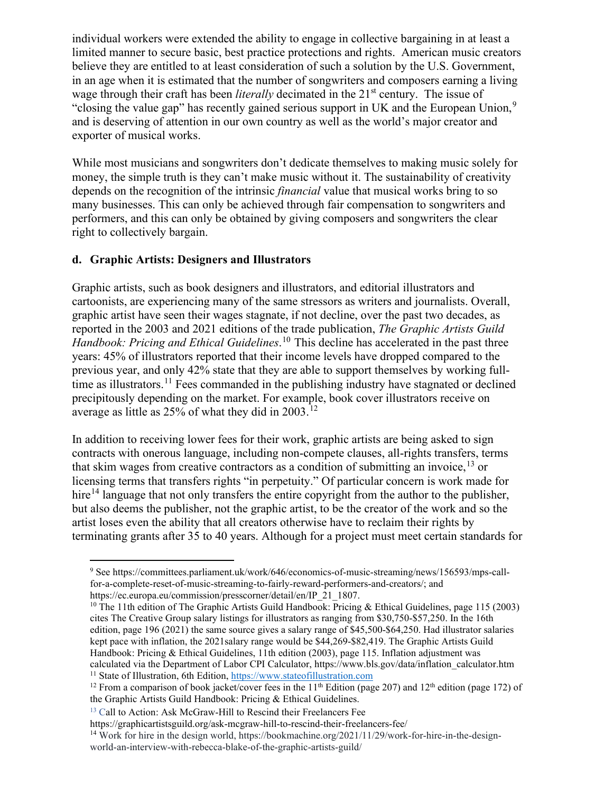individual workers were extended the ability to engage in collective bargaining in at least a limited manner to secure basic, best practice protections and rights. American music creators believe they are entitled to at least consideration of such a solution by the U.S. Government, in an age when it is estimated that the number of songwriters and composers earning a living wage through their craft has been *literally* decimated in the 21<sup>st</sup> century. The issue of "closing the value gap" has recently gained serious support in UK and the European Union,<sup>[9](#page-9-0)</sup> and is deserving of attention in our own country as well as the world's major creator and exporter of musical works.

While most musicians and songwriters don't dedicate themselves to making music solely for money, the simple truth is they can't make music without it. The sustainability of creativity depends on the recognition of the intrinsic *financial* value that musical works bring to so many businesses. This can only be achieved through fair compensation to songwriters and performers, and this can only be obtained by giving composers and songwriters the clear right to collectively bargain.

### **d. Graphic Artists: Designers and Illustrators**

Graphic artists, such as book designers and illustrators, and editorial illustrators and cartoonists, are experiencing many of the same stressors as writers and journalists. Overall, graphic artist have seen their wages stagnate, if not decline, over the past two decades, as reported in the 2003 and 2021 editions of the trade publication, *The Graphic Artists Guild Handbook: Pricing and Ethical Guidelines*. [10](#page-9-1) This decline has accelerated in the past three years: 45% of illustrators reported that their income levels have dropped compared to the previous year, and only 42% state that they are able to support themselves by working full-time as illustrators.<sup>[11](#page-9-2)</sup> Fees commanded in the publishing industry have stagnated or declined precipitously depending on the market. For example, book cover illustrators receive on average as little as 25% of what they did in 2003.<sup>[12](#page-9-3)</sup>

In addition to receiving lower fees for their work, graphic artists are being asked to sign contracts with onerous language, including non-compete clauses, all-rights transfers, terms that skim wages from creative contractors as a condition of submitting an invoice, <sup>[13](#page-9-4)</sup> or licensing terms that transfers rights "in perpetuity." Of particular concern is work made for hire<sup>[14](#page-9-5)</sup> language that not only transfers the entire copyright from the author to the publisher, but also deems the publisher, not the graphic artist, to be the creator of the work and so the artist loses even the ability that all creators otherwise have to reclaim their rights by terminating grants after 35 to 40 years. Although for a project must meet certain standards for

<span id="page-9-1"></span><sup>10</sup> The 11th edition of The Graphic Artists Guild Handbook: Pricing & Ethical Guidelines, page 115 (2003) cites The Creative Group salary listings for illustrators as ranging from \$30,750-\$57,250. In the 16th edition, page 196 (2021) the same source gives a salary range of \$45,500-\$64,250. Had illustrator salaries kept pace with inflation, the 2021salary range would be \$44,269-\$82,419. The Graphic Artists Guild Handbook: Pricing & Ethical Guidelines, 11th edition (2003), page 115. Inflation adjustment was calculated via the Department of Labor CPI Calculator, https://www.bls.gov/data/inflation\_calculator.htm <sup>11</sup> State of Illustration, 6th Edition, [https://www.stateofillustration.com](https://www.stateofillustration.com/)

<span id="page-9-0"></span><sup>9</sup> See https://committees.parliament.uk/work/646/economics-of-music-streaming/news/156593/mps-callfor-a-complete-reset-of-music-streaming-to-fairly-reward-performers-and-creators/; and https://ec.europa.eu/commission/presscorner/detail/en/IP\_21\_1807.

<span id="page-9-3"></span><span id="page-9-2"></span><sup>&</sup>lt;sup>12</sup> From a comparison of book jacket/cover fees in the 11<sup>th</sup> Edition (page 207) and 12<sup>th</sup> edition (page 172) of the Graphic Artists Guild Handbook: Pricing & Ethical Guidelines.

<sup>&</sup>lt;sup>13</sup> Call to Action: Ask McGraw-Hill to Rescind their Freelancers Fee

<span id="page-9-5"></span><span id="page-9-4"></span>https://graphicartistsguild.org/ask-mcgraw-hill-to-rescind-their-freelancers-fee/

<sup>14</sup> Work for hire in the design world, https://bookmachine.org/2021/11/29/work-for-hire-in-the-designworld-an-interview-with-rebecca-blake-of-the-graphic-artists-guild/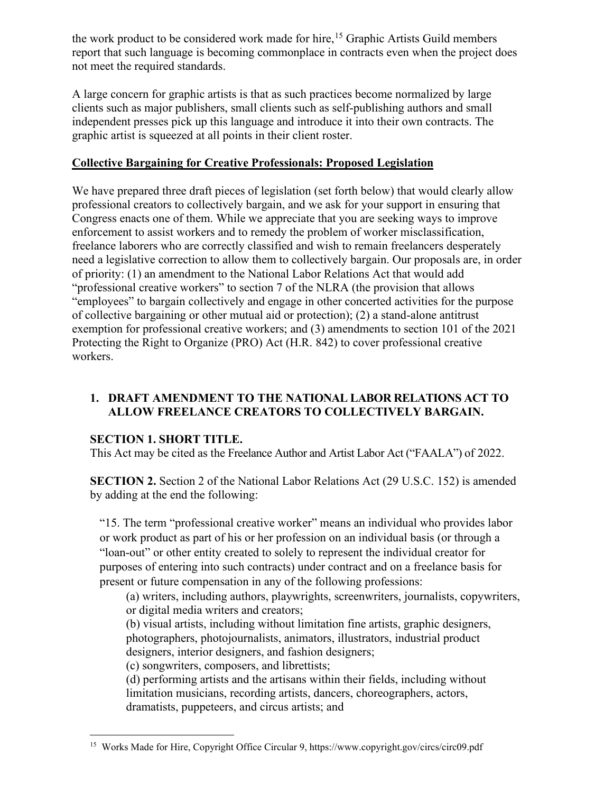the work product to be considered work made for hire,<sup>[15](#page-10-0)</sup> Graphic Artists Guild members report that such language is becoming commonplace in contracts even when the project does not meet the required standards.

A large concern for graphic artists is that as such practices become normalized by large clients such as major publishers, small clients such as self-publishing authors and small independent presses pick up this language and introduce it into their own contracts. The graphic artist is squeezed at all points in their client roster.

## **Collective Bargaining for Creative Professionals: Proposed Legislation**

We have prepared three draft pieces of legislation (set forth below) that would clearly allow professional creators to collectively bargain, and we ask for your support in ensuring that Congress enacts one of them. While we appreciate that you are seeking ways to improve enforcement to assist workers and to remedy the problem of worker misclassification, freelance laborers who are correctly classified and wish to remain freelancers desperately need a legislative correction to allow them to collectively bargain. Our proposals are, in order of priority: (1) an amendment to the National Labor Relations Act that would add "professional creative workers" to section 7 of the NLRA (the provision that allows "employees" to bargain collectively and engage in other concerted activities for the purpose of collective bargaining or other mutual aid or protection); (2) a stand-alone antitrust exemption for professional creative workers; and (3) amendments to section 101 of the 2021 Protecting the Right to Organize (PRO) Act (H.R. 842) to cover professional creative workers.

## **1. DRAFT AMENDMENT TO THE NATIONAL LABOR RELATIONS ACT TO ALLOW FREELANCE CREATORS TO COLLECTIVELY BARGAIN.**

# **SECTION 1. SHORT TITLE.**

This Act may be cited as the Freelance Author and Artist Labor Act ("FAALA") of 2022.

**SECTION 2.** Section 2 of the National Labor Relations Act [\(29 U.S.C. 152\)](http://uscode.house.gov/quicksearch/get.plx?title=29§ion=152) is amended by adding at the end the following:

"15. The term "professional creative worker" means an individual who provides labor or work product as part of his or her profession on an individual basis (or through a "loan-out" or other entity created to solely to represent the individual creator for purposes of entering into such contracts) under contract and on a freelance basis for present or future compensation in any of the following professions:

(a) writers, including authors, playwrights, screenwriters, journalists, copywriters, or digital media writers and creators;

(b) visual artists, including without limitation fine artists, graphic designers, photographers, photojournalists, animators, illustrators, industrial product designers, interior designers, and fashion designers;

(c) songwriters, composers, and librettists;

(d) performing artists and the artisans within their fields, including without limitation musicians, recording artists, dancers, choreographers, actors, dramatists, puppeteers, and circus artists; and

<span id="page-10-0"></span><sup>&</sup>lt;sup>15</sup> Works Made for Hire, Copyright Office Circular 9, https://www.copyright.gov/circs/circ09.pdf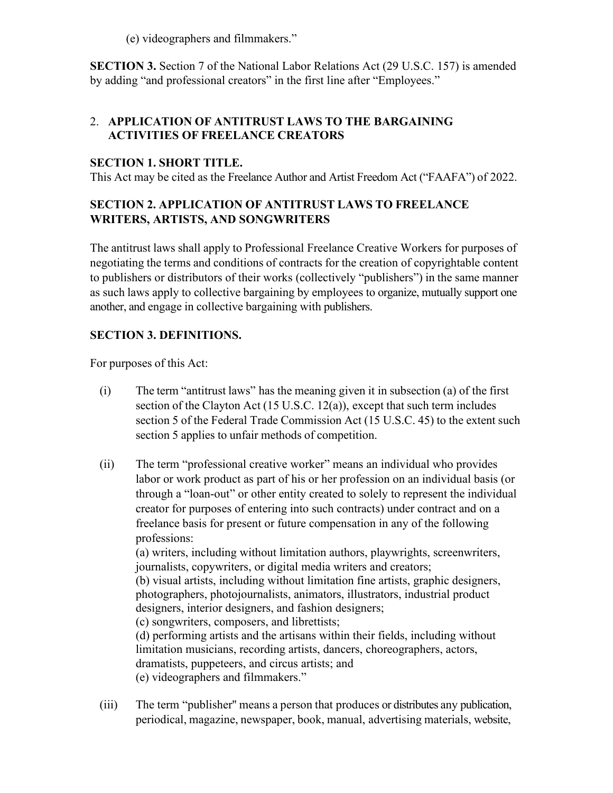(e) videographers and filmmakers."

**SECTION 3.** Section 7 of the National Labor Relations Act [\(29 U.S.C. 157\)](http://uscode.house.gov/quicksearch/get.plx?title=29§ion=152) is amended by adding "and professional creators" in the first line after "Employees."

## 2. **APPLICATION OF ANTITRUST LAWS TO THE BARGAINING ACTIVITIES OF FREELANCE CREATORS**

## **SECTION 1. SHORT TITLE.**

This Act may be cited as the Freelance Author and Artist Freedom Act ("FAAFA") of 2022.

## **SECTION 2. APPLICATION OF ANTITRUST LAWS TO FREELANCE WRITERS, ARTISTS, AND SONGWRITERS**

The antitrust laws shall apply to Professional Freelance Creative Workers for purposes of negotiating the terms and conditions of contracts for the creation of copyrightable content to publishers or distributors of their works (collectively "publishers") in the same manner as such laws apply to collective bargaining by employees to organize, mutually support one another, and engage in collective bargaining with publishers.

# **SECTION 3. DEFINITIONS.**

For purposes of this Act:

- (i) The term "antitrust laws" has the meaning given it in subsection (a) of the first section of the Clayton Act (15 U.S.C. 12(a)), except that such term includes section 5 of the Federal Trade Commission Act (15 U.S.C. 45) to the extent such section 5 applies to unfair methods of competition.
- (ii) The term "professional creative worker" means an individual who provides labor or work product as part of his or her profession on an individual basis (or through a "loan-out" or other entity created to solely to represent the individual creator for purposes of entering into such contracts) under contract and on a freelance basis for present or future compensation in any of the following professions:

(a) writers, including without limitation authors, playwrights, screenwriters, journalists, copywriters, or digital media writers and creators;

(b) visual artists, including without limitation fine artists, graphic designers, photographers, photojournalists, animators, illustrators, industrial product designers, interior designers, and fashion designers;

(c) songwriters, composers, and librettists;

(d) performing artists and the artisans within their fields, including without limitation musicians, recording artists, dancers, choreographers, actors, dramatists, puppeteers, and circus artists; and

- (e) videographers and filmmakers."
- (iii) The term "publisher'' means a person that produces or distributes any publication, periodical, magazine, newspaper, book, manual, advertising materials, website,